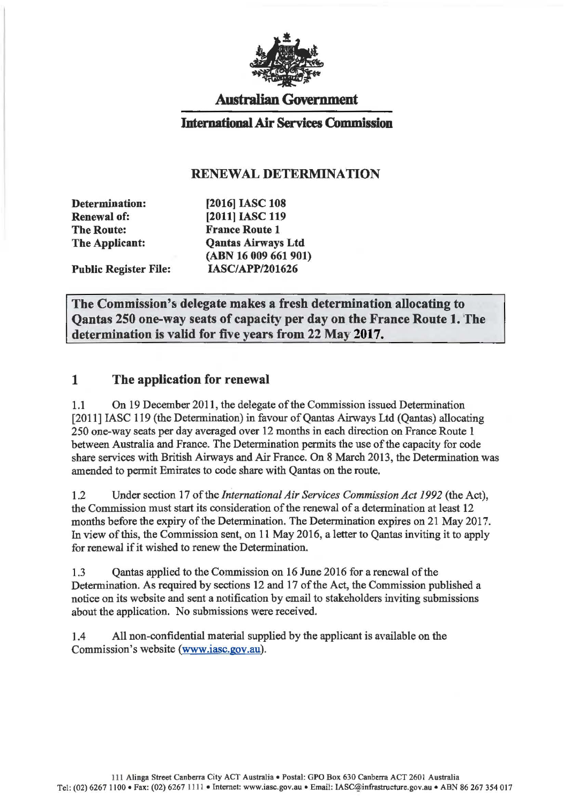

# Australian Government

### Intematiooal Air Services Commission

#### RENEWAL DETERMINATION

Determination: Renewal of: The Route: The Applicant:

Public Register File:

(2016] IASC 108 [2011] IASC 119 France Route 1 Qantas Airways Ltd (ABN 16 009 661 901) IASC/APP/201626

The Commission's delegate makes a fresh determination allocating to Qantas 250 one-way seats of capacity per day on the France Route 1. The determination is valid for five years from 22 May 2017.

### 1 The application for renewal

1.1 On 19 December 2011, the delegate of the Commission issued Determination [2011] IASC 119 (the Determination) in favour of Qantas Airways Ltd (Qantas) allocating 250 one-way seats per day averaged over 12 months in each direction on France Route 1 between Australia and France. The Determination permits the use of the capacity for code share services with British Airways and Air France. On 8 March 2013, the Determination was amended to permit Emirates to code share with Qantas on the route.

1.2 Under section 17 of the *International Air Services Commission Act 1992* (the Act), the Commission must start its consideration of the renewal of a determination at least 12 months before the expiry of the Determination. The Determination expires on 21 May 2017. In view of this, the Commission sent, on 11 May 2016, a letter to Qantas inviting it to apply for renewal if it wished to renew the Determination.

1.3 Qantas applied to the Commission on 16 June 2016 for a renewal of the Determination. As required by sections 12 and 17 of the Act, the Commission published a notice on its website and sent a notification by email to stakeholders inviting submissions about the application. No submissions were received.

1.4 All non-confidential material supplied by the applicant is available on the Commission's website (www.iasc.gov.au).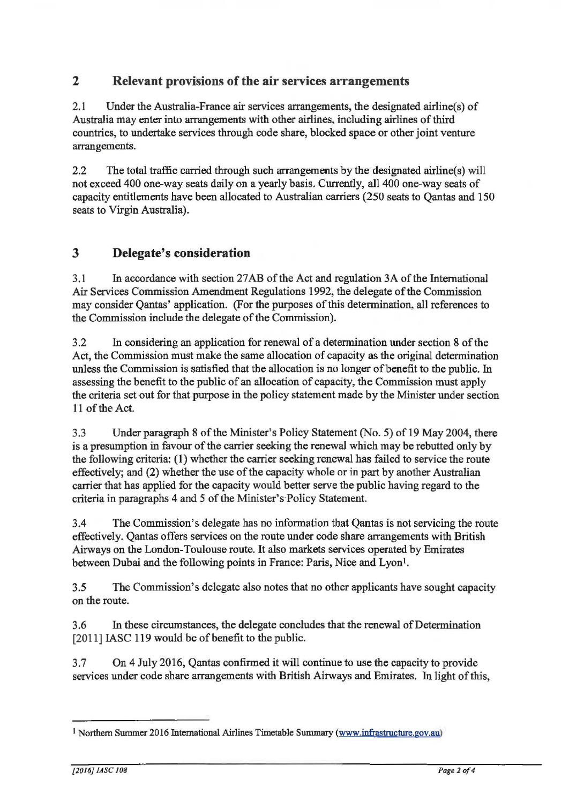### **2 Relevant provisions of the air services arrangements**

2.1 Under the Australia-France air services arrangements, the designated airline(s) of Australia may enter into arrangements with other airlines. including airlines of third countries, to undertake services through code share, blocked space or other joint venture arrangements.

2.2 The total traffic carried through such arrangements by the designated airline(s) will not exceed 400 one-way seats daily on a yearly basis. Currently, all 400 one-way seats of capacity entitlements have been allocated to Australian carriers (250 seats to Qantas and 150 seats to Virgin Australia).

# **3 Delegate's consideration**

3.1 In accordance with section 27AB of the Act and regulation 3A of the International Air Services Commission Amendment Regulations 1992, the delegate of the Commission may consider Qantas' application. (For the purposes of this determination, all references to the Commission include the delegate of the Commission).

3.2 In considering an application for renewal of a determination under section 8 of the Act, the Commission must make the same allocation of capacity as the original determination unless the Commission is satisfied that the allocation is no longer of benefit to the public. In assessing the benefit to the public of an allocation of capacity, the Commission must apply the criteria set out for that purpose in the policy statement made by the Minister under section 11 of the Act.

3.3 Under paragraph 8 of the Minister's Policy Statement (No.5) of 19 May 2004, there is a presumption in favour of the carrier seeking the renewal which may be rebutted only by the following criteria: (1) whether the carrier seeking renewal has failed to service the route effectively; and (2) whether the use of the capacity whole or in part by another Australian carrier that has applied for the capacity would better serve the public having regard to the criteria in paragraphs 4 and 5 of the Minister's Policy Statement.

3.4 The Commission's delegate has no information that Qantas is not servicing the route effectively. Qantas offers services on the route under code share arrangements with British Airways on the London-Toulouse route. It also markets services operated by Emirates between Dubai and the following points in France: Paris, Nice and Lyon<sup>1</sup>.

3.5 The Commission's delegate also notes that no other applicants have sought capacity on the route.

3.6 In these circumstances, the delegate concludes that the renewal of Determination [2011] IASC 119 would be of benefit to the public.

3.7 On 4 July 2016, Qantas confirmed it will continue to use the capacity to provide services under code share arrangements with British Airways and Emirates. In light of this,

<sup>1</sup> Northern Summer 2016 International Airlines Timetable Summary (www.infrastructure.gov.au)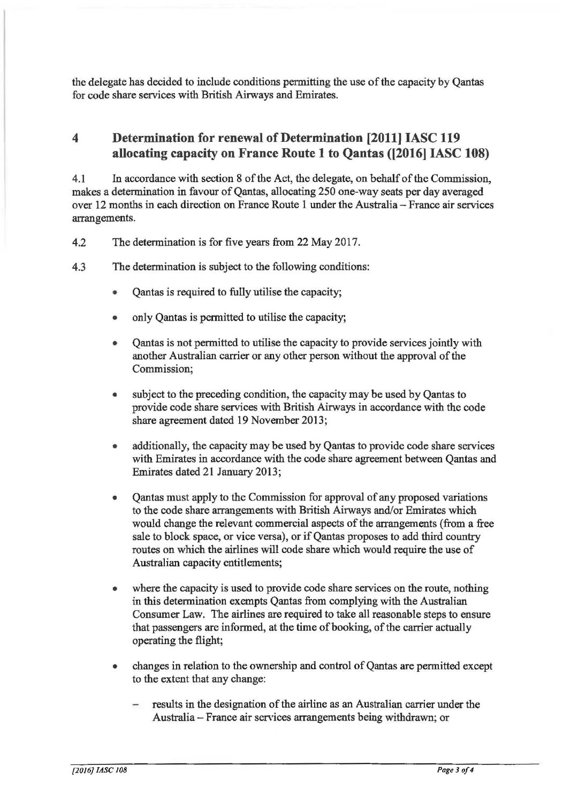the delegate has decided to include conditions permitting the use of the capacity by Qantas for code share services with British Airways and Emirates.

# **4 Determination for renewal of Determination [2011]** IASC **119 allocating capacity on France Route 1 to Qantas ([2016]** IASC **108)**

4.1 In accordance with section 8 of the Act, the delegate, on behalf of the Commission, makes a determination in favour of Qantas, allocating 250 one-way seats per day averaged over 12 months in each direction on France Route 1 under the Australia- France air services arrangements.

- 4.2 The determination is for five years from 22 May 2017.
- 4.3 The determination is subject to the following conditions:
	- Qantas is required to fully utilise the capacity;
	- only Qantas is permitted to utilise the capacity;
	- Qantas is not permitted to utilise the capacity to provide services jointly with another Australian carrier or any other person without the approval of the Commission;
	- subject to the preceding condition, the capacity may be used by Qantas to provide code share services with British Airways in accordance with the code share agreement dated 19 November 2013;
	- additionally, the capacity may be used by Qantas to provide code share services with Emirates in accordance with the code share agreement between Qantas and Emirates dated 21 January 2013;
	- Qantas must apply to the Commission for approval of any proposed variations to the code share arrangements with British Airways and/or Emirates which would change the relevant commercial aspects of the arrangements (from a free sale to block space, or vice versa), or if Qantas proposes to add third country routes on which the airlines will code share which would require the use of Australian capacity entitlements;
	- where the capacity is used to provide code share services on the route, nothing in this determination exempts Qantas from complying with the Australian Consumer Law. The airlines are required to take all reasonable steps to ensure that passengers are informed, at the time of booking, of the carrier actually operating the flight;
	- changes in relation to the ownership and control of Qantas are permitted except to the extent that any change:
		- results in the designation of the airline as an Australian carrier under the Australia - France air services arrangements being withdrawn; or